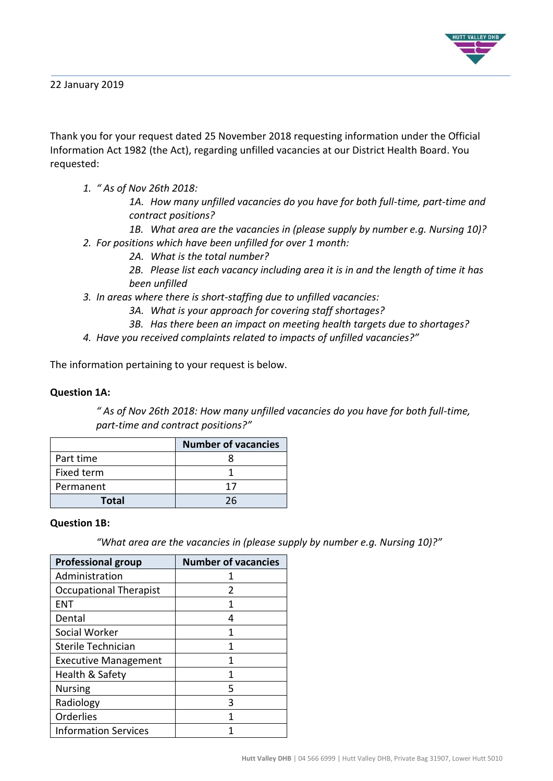

22 January 2019

Thank you for your request dated 25 November 2018 requesting information under the Official Information Act 1982 (the Act), regarding unfilled vacancies at our District Health Board. You requested:

*1. " As of Nov 26th 2018:*

*1A. How many unfilled vacancies do you have for both full-time, part-time and contract positions?*

*1B. What area are the vacancies in (please supply by number e.g. Nursing 10)? 2. For positions which have been unfilled for over 1 month:*

*2A. What is the total number?*

*2B. Please list each vacancy including area it is in and the length of time it has been unfilled*

- *3. In areas where there is short-staffing due to unfilled vacancies:*
	- *3A. What is your approach for covering staff shortages?*
	- *3B. Has there been an impact on meeting health targets due to shortages?*
- *4. Have you received complaints related to impacts of unfilled vacancies?"*

The information pertaining to your request is below.

### **Question 1A:**

*" As of Nov 26th 2018: How many unfilled vacancies do you have for both full-time, part-time and contract positions?"*

|            | <b>Number of vacancies</b> |
|------------|----------------------------|
| Part time  |                            |
| Fixed term |                            |
| Permanent  | าว                         |
| Total      | 26                         |

#### **Question 1B:**

*"What area are the vacancies in (please supply by number e.g. Nursing 10)?"*

| <b>Professional group</b>     | <b>Number of vacancies</b> |
|-------------------------------|----------------------------|
| Administration                |                            |
| <b>Occupational Therapist</b> | 2                          |
| <b>ENT</b>                    | 1                          |
| Dental                        | 4                          |
| Social Worker                 | 1                          |
| Sterile Technician            | 1                          |
| <b>Executive Management</b>   |                            |
| Health & Safety               | 1                          |
| <b>Nursing</b>                | 5                          |
| Radiology                     | 3                          |
| Orderlies                     | 1                          |
| <b>Information Services</b>   |                            |